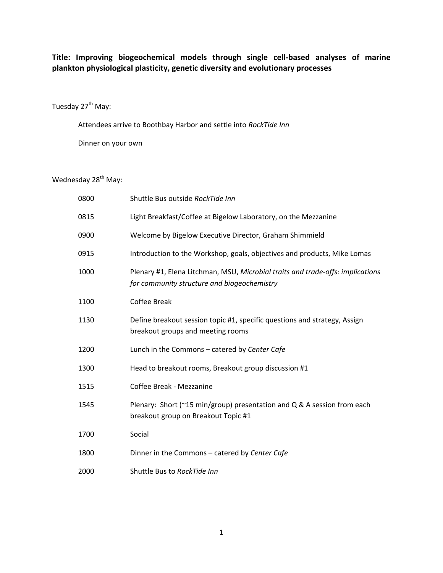**Title: Improving biogeochemical models through single cell-based analyses of marine plankton physiological plasticity, genetic diversity and evolutionary processes**

#### Tuesday 27<sup>th</sup> May:

 Attendees arrive to Boothbay Harbor and settle into *RockTide Inn*  Dinner on your own

#### Wednesday 28<sup>th</sup> May:

| 0800 | Shuttle Bus outside RockTide Inn                                                                                              |
|------|-------------------------------------------------------------------------------------------------------------------------------|
| 0815 | Light Breakfast/Coffee at Bigelow Laboratory, on the Mezzanine                                                                |
| 0900 | Welcome by Bigelow Executive Director, Graham Shimmield                                                                       |
| 0915 | Introduction to the Workshop, goals, objectives and products, Mike Lomas                                                      |
| 1000 | Plenary #1, Elena Litchman, MSU, Microbial traits and trade-offs: implications<br>for community structure and biogeochemistry |
| 1100 | <b>Coffee Break</b>                                                                                                           |
| 1130 | Define breakout session topic #1, specific questions and strategy, Assign<br>breakout groups and meeting rooms                |
| 1200 | Lunch in the Commons - catered by Center Cafe                                                                                 |
| 1300 | Head to breakout rooms, Breakout group discussion #1                                                                          |
| 1515 | Coffee Break - Mezzanine                                                                                                      |
| 1545 | Plenary: Short ( $\approx$ 15 min/group) presentation and Q & A session from each<br>breakout group on Breakout Topic #1      |
| 1700 | Social                                                                                                                        |
| 1800 | Dinner in the Commons - catered by Center Cafe                                                                                |
| 2000 | Shuttle Bus to RockTide Inn                                                                                                   |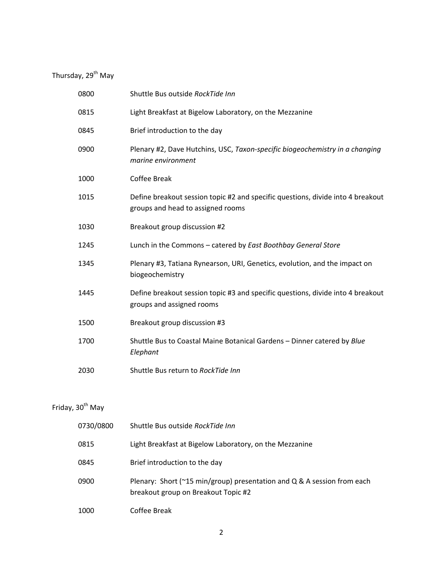## Thursday, 29<sup>th</sup> May

| 0800 | Shuttle Bus outside RockTide Inn                                                                                     |
|------|----------------------------------------------------------------------------------------------------------------------|
| 0815 | Light Breakfast at Bigelow Laboratory, on the Mezzanine                                                              |
| 0845 | Brief introduction to the day                                                                                        |
| 0900 | Plenary #2, Dave Hutchins, USC, Taxon-specific biogeochemistry in a changing<br>marine environment                   |
| 1000 | <b>Coffee Break</b>                                                                                                  |
| 1015 | Define breakout session topic #2 and specific questions, divide into 4 breakout<br>groups and head to assigned rooms |
| 1030 | Breakout group discussion #2                                                                                         |
| 1245 | Lunch in the Commons - catered by East Boothbay General Store                                                        |
| 1345 | Plenary #3, Tatiana Rynearson, URI, Genetics, evolution, and the impact on<br>biogeochemistry                        |
| 1445 | Define breakout session topic #3 and specific questions, divide into 4 breakout<br>groups and assigned rooms         |
| 1500 | Breakout group discussion #3                                                                                         |
| 1700 | Shuttle Bus to Coastal Maine Botanical Gardens - Dinner catered by Blue<br>Elephant                                  |
| 2030 | Shuttle Bus return to RockTide Inn                                                                                   |

# Friday,  $30<sup>th</sup>$  May

| 0730/0800 | Shuttle Bus outside RockTide Inn                                                                                        |
|-----------|-------------------------------------------------------------------------------------------------------------------------|
| 0815      | Light Breakfast at Bigelow Laboratory, on the Mezzanine                                                                 |
| 0845      | Brief introduction to the day                                                                                           |
| 0900      | Plenary: Short ( $\gamma$ 15 min/group) presentation and Q & A session from each<br>breakout group on Breakout Topic #2 |
| 1000      | Coffee Break                                                                                                            |